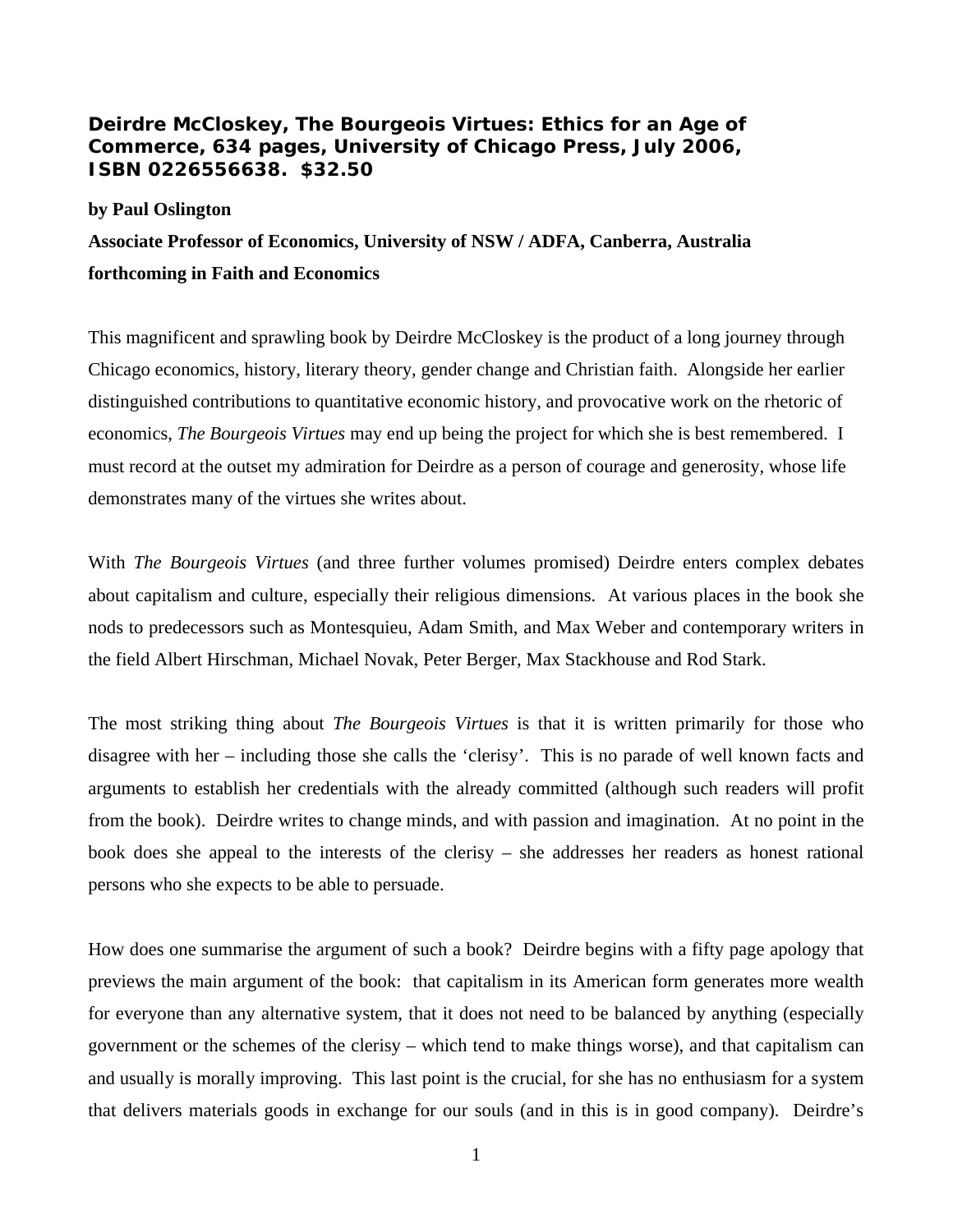**Deirdre McCloskey, The Bourgeois Virtues: Ethics for an Age of Commerce, 634 pages, University of Chicago Press, July 2006, ISBN 0226556638. \$32.50**

## **by Paul Oslington**

## **Associate Professor of Economics, University of NSW / ADFA, Canberra, Australia forthcoming in Faith and Economics**

This magnificent and sprawling book by Deirdre McCloskey is the product of a long journey through Chicago economics, history, literary theory, gender change and Christian faith. Alongside her earlier distinguished contributions to quantitative economic history, and provocative work on the rhetoric of economics, *The Bourgeois Virtues* may end up being the project for which she is best remembered. I must record at the outset my admiration for Deirdre as a person of courage and generosity, whose life demonstrates many of the virtues she writes about.

With *The Bourgeois Virtues* (and three further volumes promised) Deirdre enters complex debates about capitalism and culture, especially their religious dimensions. At various places in the book she nods to predecessors such as Montesquieu, Adam Smith, and Max Weber and contemporary writers in the field Albert Hirschman, Michael Novak, Peter Berger, Max Stackhouse and Rod Stark.

The most striking thing about *The Bourgeois Virtues* is that it is written primarily for those who disagree with her – including those she calls the 'clerisy'. This is no parade of well known facts and arguments to establish her credentials with the already committed (although such readers will profit from the book). Deirdre writes to change minds, and with passion and imagination. At no point in the book does she appeal to the interests of the clerisy – she addresses her readers as honest rational persons who she expects to be able to persuade.

How does one summarise the argument of such a book? Deirdre begins with a fifty page apology that previews the main argument of the book: that capitalism in its American form generates more wealth for everyone than any alternative system, that it does not need to be balanced by anything (especially government or the schemes of the clerisy – which tend to make things worse), and that capitalism can and usually is morally improving. This last point is the crucial, for she has no enthusiasm for a system that delivers materials goods in exchange for our souls (and in this is in good company). Deirdre's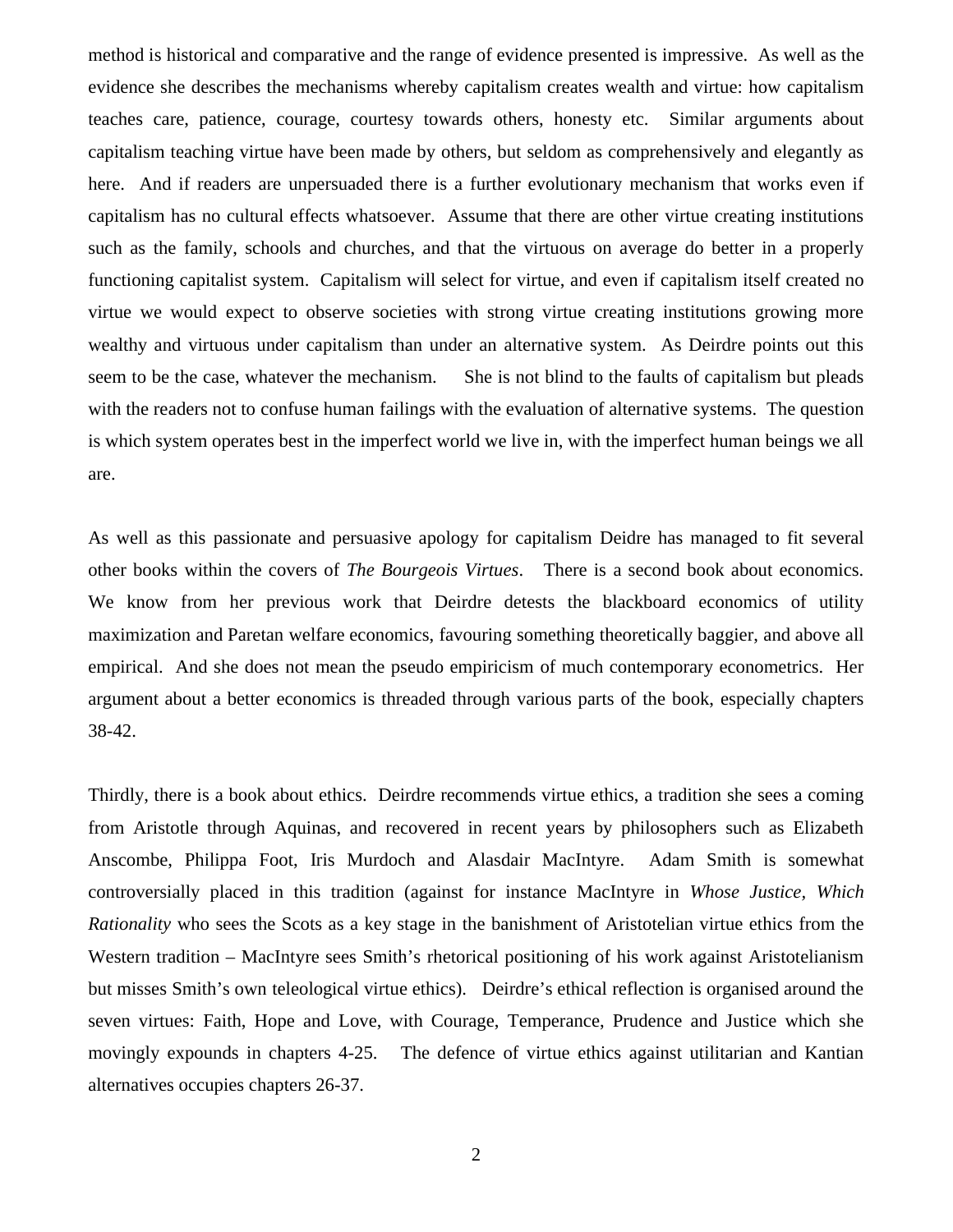method is historical and comparative and the range of evidence presented is impressive. As well as the evidence she describes the mechanisms whereby capitalism creates wealth and virtue: how capitalism teaches care, patience, courage, courtesy towards others, honesty etc. Similar arguments about capitalism teaching virtue have been made by others, but seldom as comprehensively and elegantly as here. And if readers are unpersuaded there is a further evolutionary mechanism that works even if capitalism has no cultural effects whatsoever. Assume that there are other virtue creating institutions such as the family, schools and churches, and that the virtuous on average do better in a properly functioning capitalist system. Capitalism will select for virtue, and even if capitalism itself created no virtue we would expect to observe societies with strong virtue creating institutions growing more wealthy and virtuous under capitalism than under an alternative system. As Deirdre points out this seem to be the case, whatever the mechanism. She is not blind to the faults of capitalism but pleads with the readers not to confuse human failings with the evaluation of alternative systems. The question is which system operates best in the imperfect world we live in, with the imperfect human beings we all are.

As well as this passionate and persuasive apology for capitalism Deidre has managed to fit several other books within the covers of *The Bourgeois Virtues*. There is a second book about economics. We know from her previous work that Deirdre detests the blackboard economics of utility maximization and Paretan welfare economics, favouring something theoretically baggier, and above all empirical. And she does not mean the pseudo empiricism of much contemporary econometrics. Her argument about a better economics is threaded through various parts of the book, especially chapters 38-42.

Thirdly, there is a book about ethics. Deirdre recommends virtue ethics, a tradition she sees a coming from Aristotle through Aquinas, and recovered in recent years by philosophers such as Elizabeth Anscombe, Philippa Foot, Iris Murdoch and Alasdair MacIntyre. Adam Smith is somewhat controversially placed in this tradition (against for instance MacIntyre in *Whose Justice, Which Rationality* who sees the Scots as a key stage in the banishment of Aristotelian virtue ethics from the Western tradition – MacIntyre sees Smith's rhetorical positioning of his work against Aristotelianism but misses Smith's own teleological virtue ethics). Deirdre's ethical reflection is organised around the seven virtues: Faith, Hope and Love, with Courage, Temperance, Prudence and Justice which she movingly expounds in chapters 4-25. The defence of virtue ethics against utilitarian and Kantian alternatives occupies chapters 26-37.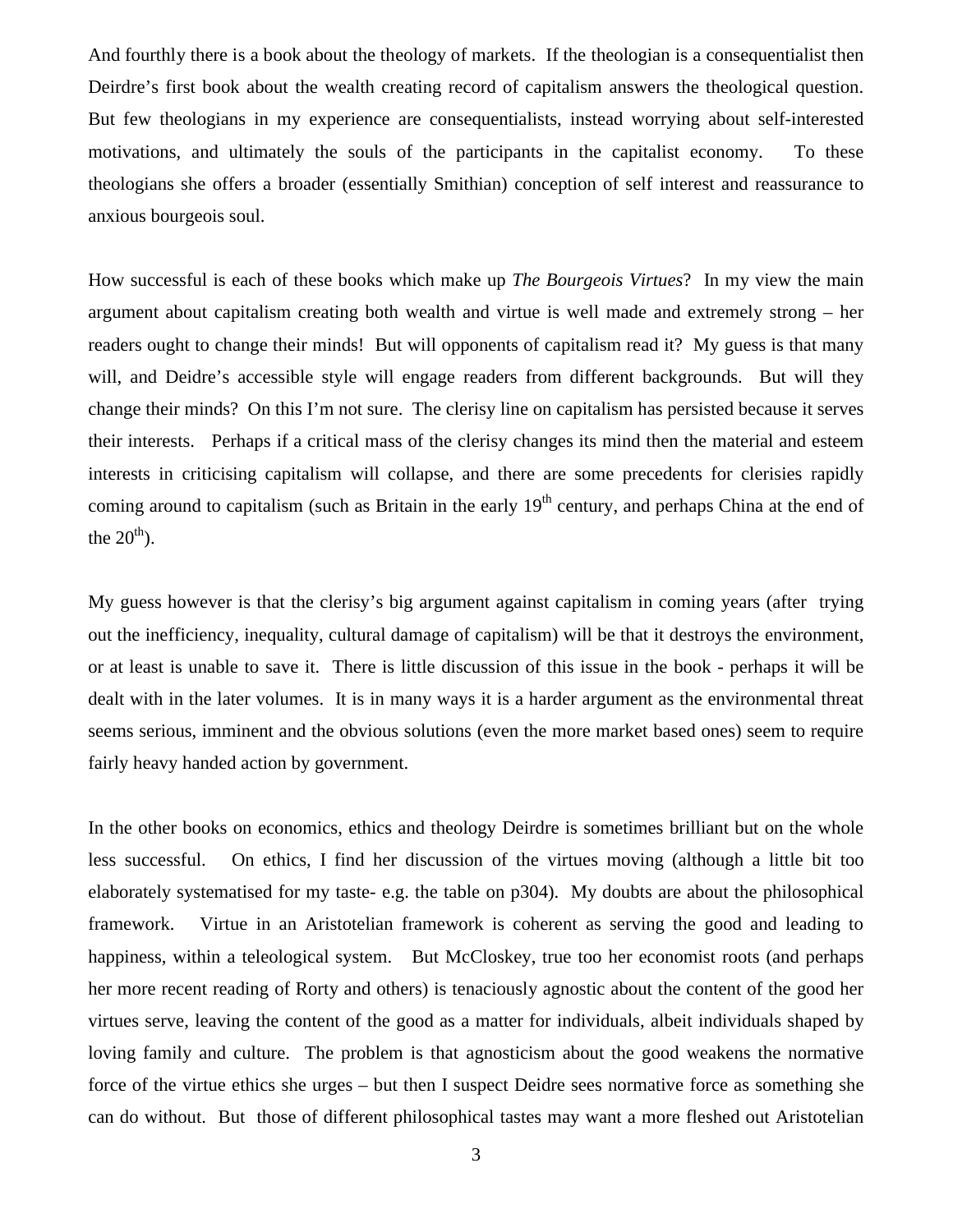And fourthly there is a book about the theology of markets. If the theologian is a consequentialist then Deirdre's first book about the wealth creating record of capitalism answers the theological question. But few theologians in my experience are consequentialists, instead worrying about self-interested motivations, and ultimately the souls of the participants in the capitalist economy. To these theologians she offers a broader (essentially Smithian) conception of self interest and reassurance to anxious bourgeois soul.

How successful is each of these books which make up *The Bourgeois Virtues*? In my view the main argument about capitalism creating both wealth and virtue is well made and extremely strong – her readers ought to change their minds! But will opponents of capitalism read it? My guess is that many will, and Deidre's accessible style will engage readers from different backgrounds. But will they change their minds? On this I'm not sure. The clerisy line on capitalism has persisted because it serves their interests. Perhaps if a critical mass of the clerisy changes its mind then the material and esteem interests in criticising capitalism will collapse, and there are some precedents for clerisies rapidly coming around to capitalism (such as Britain in the early 19<sup>th</sup> century, and perhaps China at the end of the  $20<sup>th</sup>$ ).

My guess however is that the clerisy's big argument against capitalism in coming years (after trying out the inefficiency, inequality, cultural damage of capitalism) will be that it destroys the environment, or at least is unable to save it. There is little discussion of this issue in the book - perhaps it will be dealt with in the later volumes. It is in many ways it is a harder argument as the environmental threat seems serious, imminent and the obvious solutions (even the more market based ones) seem to require fairly heavy handed action by government.

In the other books on economics, ethics and theology Deirdre is sometimes brilliant but on the whole less successful. On ethics, I find her discussion of the virtues moving (although a little bit too elaborately systematised for my taste- e.g. the table on p304). My doubts are about the philosophical framework. Virtue in an Aristotelian framework is coherent as serving the good and leading to happiness, within a teleological system. But McCloskey, true too her economist roots (and perhaps her more recent reading of Rorty and others) is tenaciously agnostic about the content of the good her virtues serve, leaving the content of the good as a matter for individuals, albeit individuals shaped by loving family and culture. The problem is that agnosticism about the good weakens the normative force of the virtue ethics she urges – but then I suspect Deidre sees normative force as something she can do without. But those of different philosophical tastes may want a more fleshed out Aristotelian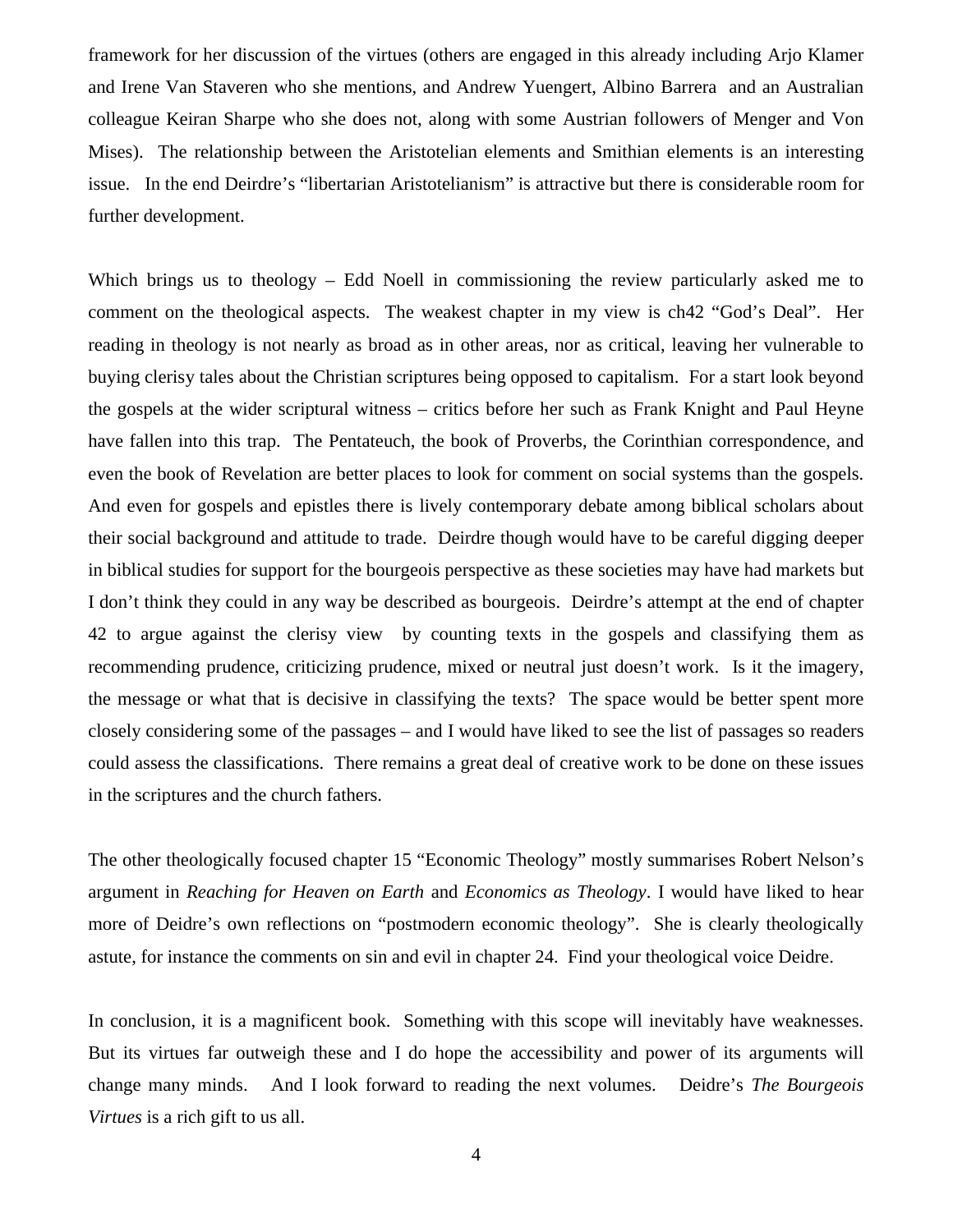framework for her discussion of the virtues (others are engaged in this already including Arjo Klamer and Irene Van Staveren who she mentions, and Andrew Yuengert, Albino Barrera and an Australian colleague Keiran Sharpe who she does not, along with some Austrian followers of Menger and Von Mises). The relationship between the Aristotelian elements and Smithian elements is an interesting issue. In the end Deirdre's "libertarian Aristotelianism" is attractive but there is considerable room for further development.

Which brings us to theology – Edd Noell in commissioning the review particularly asked me to comment on the theological aspects. The weakest chapter in my view is ch42 "God's Deal". Her reading in theology is not nearly as broad as in other areas, nor as critical, leaving her vulnerable to buying clerisy tales about the Christian scriptures being opposed to capitalism. For a start look beyond the gospels at the wider scriptural witness – critics before her such as Frank Knight and Paul Heyne have fallen into this trap. The Pentateuch, the book of Proverbs, the Corinthian correspondence, and even the book of Revelation are better places to look for comment on social systems than the gospels. And even for gospels and epistles there is lively contemporary debate among biblical scholars about their social background and attitude to trade. Deirdre though would have to be careful digging deeper in biblical studies for support for the bourgeois perspective as these societies may have had markets but I don't think they could in any way be described as bourgeois. Deirdre's attempt at the end of chapter 42 to argue against the clerisy view by counting texts in the gospels and classifying them as recommending prudence, criticizing prudence, mixed or neutral just doesn't work. Is it the imagery, the message or what that is decisive in classifying the texts? The space would be better spent more closely considering some of the passages – and I would have liked to see the list of passages so readers could assess the classifications. There remains a great deal of creative work to be done on these issues in the scriptures and the church fathers.

The other theologically focused chapter 15 "Economic Theology" mostly summarises Robert Nelson's argument in *Reaching for Heaven on Earth* and *Economics as Theology*. I would have liked to hear more of Deidre's own reflections on "postmodern economic theology". She is clearly theologically astute, for instance the comments on sin and evil in chapter 24. Find your theological voice Deidre.

In conclusion, it is a magnificent book. Something with this scope will inevitably have weaknesses. But its virtues far outweigh these and I do hope the accessibility and power of its arguments will change many minds. And I look forward to reading the next volumes. Deidre's *The Bourgeois Virtues* is a rich gift to us all.